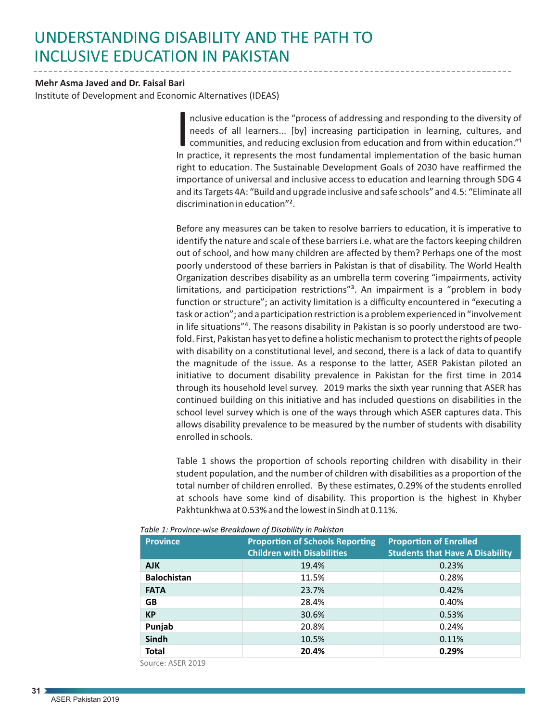## UNDERSTANDING DISABILITY AND THE PATH TO INCLUSIVE EDUCATION IN PAKISTAN

## **Mehr Asma Javed and Dr. Faisal Bari**

Institute of Development and Economic Alternatives (IDEAS)

nclusive education is the "process of addressing and responding to the diversity of needs of all learners... [by] increasing participation in learning, cultures, and communities, and reducing exclusion from education and f needs of all learners... [by] increasing participation in learning, cultures, and communities, and reducing exclusion from education and from within education."<sup>1</sup> In practice, it represents the most fundamental implementation of the basic human right to education. The Sustainable Development Goals of 2030 have reaffirmed the importance of universal and inclusive access to education and learning through SDG 4 and its Targets 4A: "Build and upgrade inclusive and safe schools" and 4.5: "Eliminate all discrimination in education"².

Before any measures can be taken to resolve barriers to education, it is imperative to identify the nature and scale of these barriers i.e. what are the factors keeping children out of school, and how many children are affected by them? Perhaps one of the most poorly understood of these barriers in Pakistan is that of disability. The World Health Organization describes disability as an umbrella term covering "impairments, activity limitations, and participation restrictions<sup>"3</sup>. An impairment is a "problem in body function or structure"; an activity limitation is a difficulty encountered in "executing a task or action"; and a participation restriction is a problem experienced in "involvement in life situations"<sup>4</sup>. The reasons disability in Pakistan is so poorly understood are twofold. First, Pakistan has yet to define a holistic mechanism to protect the rights of people with disability on a constitutional level, and second, there is a lack of data to quantify the magnitude of the issue. As a response to the latter, ASER Pakistan piloted an initiative to document disability prevalence in Pakistan for the first time in 2014 through its household level survey. 2019 marks the sixth year running that ASER has continued building on this initiative and has included questions on disabilities in the school level survey which is one of the ways through which ASER captures data. This allows disability prevalence to be measured by the number of students with disability enrolled in schools.

Table 1 shows the proportion of schools reporting children with disability in their student population, and the number of children with disabilities as a proportion of the total number of children enrolled. By these estimates, 0.29% of the students enrolled at schools have some kind of disability. This proportion is the highest in Khyber Pakhtunkhwa at 0.53% and the lowest in Sindh at 0.11%.

| <b>Province</b>    | <b>Proportion of Schools Reporting</b><br><b>Children with Disabilities</b> | <b>Proportion of Enrolled</b><br><b>Students that Have A Disability</b> |
|--------------------|-----------------------------------------------------------------------------|-------------------------------------------------------------------------|
| <b>AJK</b>         | 19.4%                                                                       | 0.23%                                                                   |
| <b>Balochistan</b> | 11.5%                                                                       | 0.28%                                                                   |
| <b>FATA</b>        | 23.7%                                                                       | 0.42%                                                                   |
| <b>GB</b>          | 28.4%                                                                       | 0.40%                                                                   |
| <b>KP</b>          | 30.6%                                                                       | 0.53%                                                                   |
| Punjab             | 20.8%                                                                       | 0.24%                                                                   |
| Sindh              | 10.5%                                                                       | 0.11%                                                                   |
| <b>Total</b>       | 20.4%                                                                       | 0.29%                                                                   |

*Table 1: Province-wise Breakdown of Disability in Pakistan*

Source: ASER 2019

**31**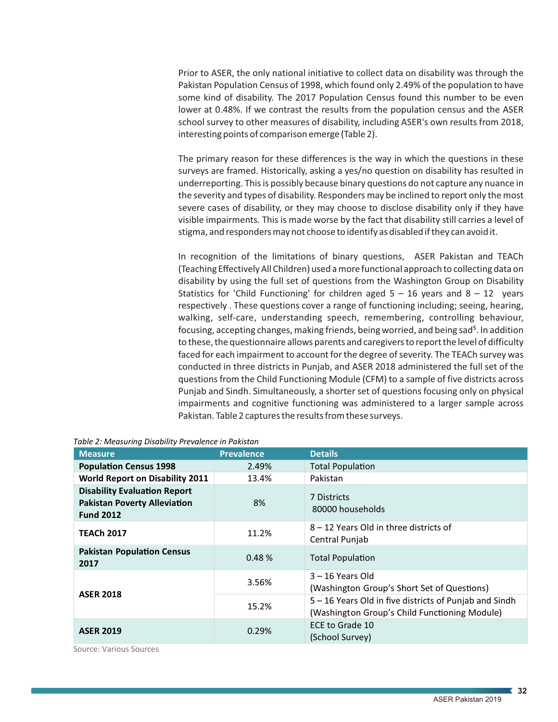Prior to ASER, the only national initiative to collect data on disability was through the Pakistan Population Census of 1998, which found only 2.49% of the population to have some kind of disability. The 2017 Population Census found this number to be even lower at 0.48%. If we contrast the results from the population census and the ASER school survey to other measures of disability, including ASER's own results from 2018, interesting points of comparison emerge (Table 2).

The primary reason for these differences is the way in which the questions in these surveys are framed. Historically, asking a yes/no question on disability has resulted in underreporting. This is possibly because binary questions do not capture any nuance in the severity and types of disability. Responders may be inclined to report only the most severe cases of disability, or they may choose to disclose disability only if they have visible impairments. This is made worse by the fact that disability still carries a level of stigma, and responders may not choose to identify as disabled if they can avoid it.

In recognition of the limitations of binary questions, ASER Pakistan and TEACh (Teaching Effectively All Children) used a more functional approach to collecting data on disability by using the full set of questions from the Washington Group on Disability Statistics for 'Child Functioning' for children aged  $5 - 16$  years and  $8 - 12$  years respectively . These questions cover a range of functioning including; seeing, hearing, walking, self-care, understanding speech, remembering, controlling behaviour, focusing, accepting changes, making friends, being worried, and being sad<sup>5</sup>. In addition to these, the questionnaire allows parents and caregivers to report the level of difficulty faced for each impairment to account for the degree of severity. The TEACh survey was conducted in three districts in Punjab, and ASER 2018 administered the full set of the questions from the Child Functioning Module (CFM) to a sample of five districts across Punjab and Sindh. Simultaneously, a shorter set of questions focusing only on physical impairments and cognitive functioning was administered to a larger sample across Pakistan. Table 2 captures the results from these surveys.

| <b>Measure</b>                                                                                 | <b>Prevalence</b> | <b>Details</b>                                                                                          |
|------------------------------------------------------------------------------------------------|-------------------|---------------------------------------------------------------------------------------------------------|
| <b>Population Census 1998</b>                                                                  | 2.49%             | <b>Total Population</b>                                                                                 |
| <b>World Report on Disability 2011</b>                                                         | 13.4%             | Pakistan                                                                                                |
| <b>Disability Evaluation Report</b><br><b>Pakistan Poverty Alleviation</b><br><b>Fund 2012</b> | 8%                | 7 Districts<br>80000 households                                                                         |
| <b>TEACh 2017</b>                                                                              | 11.2%             | 8 – 12 Years Old in three districts of<br>Central Punjab                                                |
| <b>Pakistan Population Census</b><br>2017                                                      | 0.48%             | <b>Total Population</b>                                                                                 |
| <b>ASER 2018</b>                                                                               | 3.56%             | $3 - 16$ Years Old<br>(Washington Group's Short Set of Questions)                                       |
|                                                                                                | 15.2%             | 5 – 16 Years Old in five districts of Punjab and Sindh<br>(Washington Group's Child Functioning Module) |
| <b>ASER 2019</b>                                                                               | 0.29%             | ECE to Grade 10<br>(School Survey)                                                                      |

*Table 2: Measuring Disability Prevalence in Pakistan*

Source: Various Sources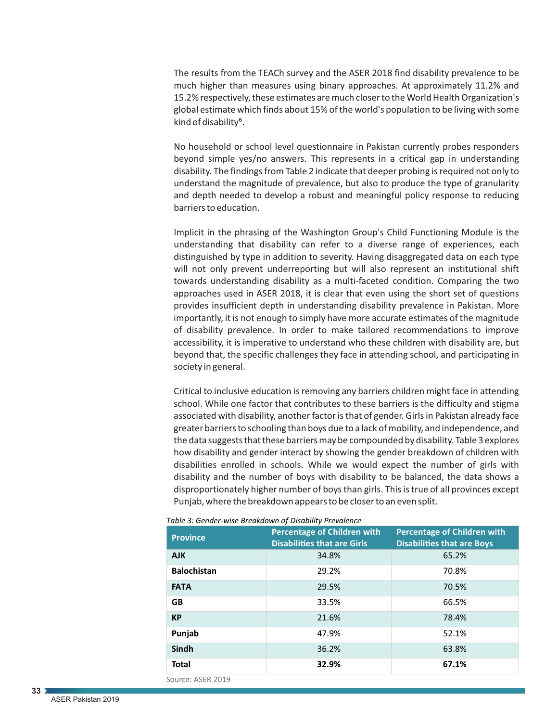The results from the TEACh survey and the ASER 2018 find disability prevalence to be much higher than measures using binary approaches. At approximately 11.2% and 15.2% respectively, these estimates are much closer to the World Health Organization's global estimate which finds about 15% of the world's population to be living with some kind of disability<sup>6</sup>.

No household or school level questionnaire in Pakistan currently probes responders beyond simple yes/no answers. This represents in a critical gap in understanding disability. The findings from Table 2 indicate that deeper probing is required not only to understand the magnitude of prevalence, but also to produce the type of granularity and depth needed to develop a robust and meaningful policy response to reducing barriers to education.

Implicit in the phrasing of the Washington Group's Child Functioning Module is the understanding that disability can refer to a diverse range of experiences, each distinguished by type in addition to severity. Having disaggregated data on each type will not only prevent underreporting but will also represent an institutional shift towards understanding disability as a multi-faceted condition. Comparing the two approaches used in ASER 2018, it is clear that even using the short set of questions provides insufficient depth in understanding disability prevalence in Pakistan. More importantly, it is not enough to simply have more accurate estimates of the magnitude of disability prevalence. In order to make tailored recommendations to improve accessibility, it is imperative to understand who these children with disability are, but beyond that, the specific challenges they face in attending school, and participating in society in general.

Critical to inclusive education is removing any barriers children might face in attending school. While one factor that contributes to these barriers is the difficulty and stigma associated with disability, another factor is that of gender. Girls in Pakistan already face greater barriers to schooling than boys due to a lack of mobility, and independence, and the data suggests that these barriers may be compounded by disability. Table 3 explores how disability and gender interact by showing the gender breakdown of children with disabilities enrolled in schools. While we would expect the number of girls with disability and the number of boys with disability to be balanced, the data shows a disproportionately higher number of boys than girls. This is true of all provinces except Punjab, where the breakdown appears to be closer to an even split.

| <b>Province</b>    | <b>Percentage of Children with</b><br><b>Disabilities that are Girls</b> | <b>Percentage of Children with</b><br><b>Disabilities that are Boys</b> |
|--------------------|--------------------------------------------------------------------------|-------------------------------------------------------------------------|
| <b>AJK</b>         | 34.8%                                                                    | 65.2%                                                                   |
| <b>Balochistan</b> | 29.2%                                                                    | 70.8%                                                                   |
| <b>FATA</b>        | 29.5%                                                                    | 70.5%                                                                   |
| <b>GB</b>          | 33.5%                                                                    | 66.5%                                                                   |
| <b>KP</b>          | 21.6%                                                                    | 78.4%                                                                   |
| Punjab             | 47.9%                                                                    | 52.1%                                                                   |
| <b>Sindh</b>       | 36.2%                                                                    | 63.8%                                                                   |
| <b>Total</b>       | 32.9%                                                                    | 67.1%                                                                   |
| Source: ASER 2019  |                                                                          |                                                                         |



**33**